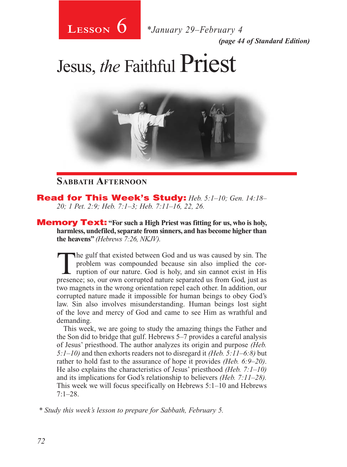

*(page 44 of Standard Edition)* **Lesson** *\*January 29–February 4*

## Jesus, *the* Faithful Priest



#### **Sabbath Afternoon**

Read for This Week's Study: *Heb. 5:1–10; Gen. 14:18– 20; 1 Pet. 2:9; Heb. 7:1–3; Heb. 7:11–16, 22, 26.*

**Memory Text:** "For such a High Priest was fitting for us, who is holy, **harmless, undefiled, separate from sinners, and has become higher than the heavens"** *(Hebrews 7:26, NKJV).*

The gulf that existed between God and us was caused by sin. The problem was compounded because sin also implied the corruption of our nature. God is holy, and sin cannot exist in His presence: so our own corrupted pature s problem was compounded because sin also implied the corpresence; so, our own corrupted nature separated us from God, just as two magnets in the wrong orientation repel each other. In addition, our corrupted nature made it impossible for human beings to obey God's law. Sin also involves misunderstanding. Human beings lost sight of the love and mercy of God and came to see Him as wrathful and demanding.

This week, we are going to study the amazing things the Father and the Son did to bridge that gulf. Hebrews 5–7 provides a careful analysis of Jesus' priesthood. The author analyzes its origin and purpose *(Heb. 5:1–10)* and then exhorts readers not to disregard it *(Heb. 5:11–6:8)* but rather to hold fast to the assurance of hope it provides *(Heb. 6:9–20)*. He also explains the characteristics of Jesus' priesthood *(Heb. 7:1–10)*  and its implications for God's relationship to believers *(Heb. 7:11–28).*  This week we will focus specifically on Hebrews 5:1–10 and Hebrews  $7:1-28$ .

*\* Study this week's lesson to prepare for Sabbath, February 5.*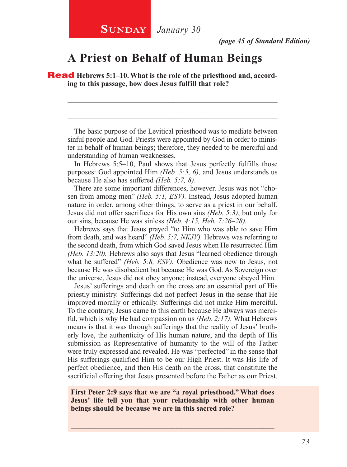#### **A Priest on Behalf of Human Beings**

**Read** Hebrews 5:1–10. What is the role of the priesthood and, accord**ing to this passage, how does Jesus fulfill that role?**

The basic purpose of the Levitical priesthood was to mediate between sinful people and God. Priests were appointed by God in order to minister in behalf of human beings; therefore, they needed to be merciful and understanding of human weaknesses.

\_\_\_\_\_\_\_\_\_\_\_\_\_\_\_\_\_\_\_\_\_\_\_\_\_\_\_\_\_\_\_\_\_\_\_\_\_\_\_\_\_\_\_\_\_\_\_\_\_\_\_\_

\_\_\_\_\_\_\_\_\_\_\_\_\_\_\_\_\_\_\_\_\_\_\_\_\_\_\_\_\_\_\_\_\_\_\_\_\_\_\_\_\_\_\_\_\_\_\_\_\_\_\_\_

In Hebrews 5:5–10, Paul shows that Jesus perfectly fulfills those purposes: God appointed Him *(Heb. 5:5, 6),* and Jesus understands us because He also has suffered *(Heb. 5:7, 8)*.

There are some important differences, however. Jesus was not "chosen from among men" *(Heb. 5:1, ESV).* Instead, Jesus adopted human nature in order, among other things, to serve as a priest in our behalf. Jesus did not offer sacrifices for His own sins *(Heb. 5:3)*, but only for our sins, because He was sinless *(Heb. 4:15, Heb. 7:26–28).*

Hebrews says that Jesus prayed "to Him who was able to save Him from death, and was heard" *(Heb. 5:7, NKJV).* Hebrews was referring to the second death, from which God saved Jesus when He resurrected Him *(Heb. 13:20).* Hebrews also says that Jesus "learned obedience through what he suffered" *(Heb. 5:8, ESV).* Obedience was new to Jesus, not because He was disobedient but because He was God. As Sovereign over the universe, Jesus did not obey anyone; instead, everyone obeyed Him.

Jesus' sufferings and death on the cross are an essential part of His priestly ministry. Sufferings did not perfect Jesus in the sense that He improved morally or ethically. Sufferings did not make Him merciful. To the contrary, Jesus came to this earth because He always was merciful, which is why He had compassion on us *(Heb. 2:17).* What Hebrews means is that it was through sufferings that the reality of Jesus' brotherly love, the authenticity of His human nature, and the depth of His submission as Representative of humanity to the will of the Father were truly expressed and revealed. He was "perfected" in the sense that His sufferings qualified Him to be our High Priest. It was His life of perfect obedience, and then His death on the cross, that constitute the sacrificial offering that Jesus presented before the Father as our Priest.

**First Peter 2:9 says that we are "a royal priesthood." What does Jesus' life tell you that your relationship with other human beings should be because we are in this sacred role?**

\_\_\_\_\_\_\_\_\_\_\_\_\_\_\_\_\_\_\_\_\_\_\_\_\_\_\_\_\_\_\_\_\_\_\_\_\_\_\_\_\_\_\_\_\_\_\_\_\_\_\_\_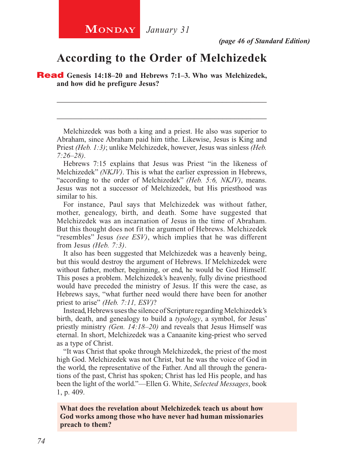*(page 46 of Standard Edition)*

#### **According to the Order of Melchizedek**

\_\_\_\_\_\_\_\_\_\_\_\_\_\_\_\_\_\_\_\_\_\_\_\_\_\_\_\_\_\_\_\_\_\_\_\_\_\_\_\_\_\_\_\_\_\_\_\_\_\_\_\_

\_\_\_\_\_\_\_\_\_\_\_\_\_\_\_\_\_\_\_\_\_\_\_\_\_\_\_\_\_\_\_\_\_\_\_\_\_\_\_\_\_\_\_\_\_\_\_\_\_\_\_\_

Read **Genesis 14:18–20 and Hebrews 7:1–3. Who was Melchizedek, and how did he prefigure Jesus?**

Melchizedek was both a king and a priest. He also was superior to Abraham, since Abraham paid him tithe. Likewise, Jesus is King and Priest *(Heb. 1:3)*; unlike Melchizedek, however, Jesus was sinless *(Heb. 7:26–28)*.

Hebrews 7:15 explains that Jesus was Priest "in the likeness of Melchizedek" *(NKJV)*. This is what the earlier expression in Hebrews, "according to the order of Melchizedek" *(Heb. 5:6, NKJV)*, means. Jesus was not a successor of Melchizedek, but His priesthood was similar to his.

For instance, Paul says that Melchizedek was without father, mother, genealogy, birth, and death. Some have suggested that Melchizedek was an incarnation of Jesus in the time of Abraham. But this thought does not fit the argument of Hebrews. Melchizedek "resembles" Jesus *(see ESV)*, which implies that he was different from Jesus *(Heb. 7:3)*.

It also has been suggested that Melchizedek was a heavenly being, but this would destroy the argument of Hebrews. If Melchizedek were without father, mother, beginning, or end, he would be God Himself. This poses a problem. Melchizedek's heavenly, fully divine priesthood would have preceded the ministry of Jesus. If this were the case, as Hebrews says, "what further need would there have been for another priest to arise" *(Heb. 7:11, ESV)*?

Instead, Hebrews uses the silence of Scripture regarding Melchizedek's birth, death, and genealogy to build a *typology*, a symbol, for Jesus' priestly ministry *(Gen. 14:18–20)* and reveals that Jesus Himself was eternal. In short, Melchizedek was a Canaanite king-priest who served as a type of Christ.

"It was Christ that spoke through Melchizedek, the priest of the most high God. Melchizedek was not Christ, but he was the voice of God in the world, the representative of the Father. And all through the generations of the past, Christ has spoken; Christ has led His people, and has been the light of the world."—Ellen G. White, *Selected Messages*, book 1, p. 409.

**What does the revelation about Melchizedek teach us about how God works among those who have never had human missionaries preach to them?**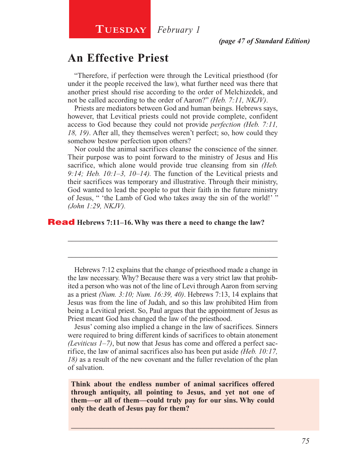## **TUESDAY** *February* 1

#### **An Effective Priest**

"Therefore, if perfection were through the Levitical priesthood (for under it the people received the law), what further need was there that another priest should rise according to the order of Melchizedek, and not be called according to the order of Aaron?" *(Heb. 7:11, NKJV)*.

Priests are mediators between God and human beings. Hebrews says, however, that Levitical priests could not provide complete, confident access to God because they could not provide *perfection (Heb. 7:11, 18, 19)*. After all, they themselves weren't perfect; so, how could they somehow bestow perfection upon others?

Nor could the animal sacrifices cleanse the conscience of the sinner. Their purpose was to point forward to the ministry of Jesus and His sacrifice, which alone would provide true cleansing from sin *(Heb. 9:14; Heb. 10:1–3, 10–14).* The function of the Levitical priests and their sacrifices was temporary and illustrative. Through their ministry, God wanted to lead the people to put their faith in the future ministry of Jesus, " 'the Lamb of God who takes away the sin of the world!' " *(John 1:29, NKJV).*

#### Read **Hebrews 7:11–16. Why was there a need to change the law?**

Hebrews 7:12 explains that the change of priesthood made a change in the law necessary. Why? Because there was a very strict law that prohibited a person who was not of the line of Levi through Aaron from serving as a priest *(Num. 3:10; Num. 16:39, 40)*. Hebrews 7:13, 14 explains that Jesus was from the line of Judah, and so this law prohibited Him from being a Levitical priest. So, Paul argues that the appointment of Jesus as Priest meant God has changed the law of the priesthood.

\_\_\_\_\_\_\_\_\_\_\_\_\_\_\_\_\_\_\_\_\_\_\_\_\_\_\_\_\_\_\_\_\_\_\_\_\_\_\_\_\_\_\_\_\_\_\_\_\_\_\_\_

\_\_\_\_\_\_\_\_\_\_\_\_\_\_\_\_\_\_\_\_\_\_\_\_\_\_\_\_\_\_\_\_\_\_\_\_\_\_\_\_\_\_\_\_\_\_\_\_\_\_\_\_

Jesus' coming also implied a change in the law of sacrifices. Sinners were required to bring different kinds of sacrifices to obtain atonement *(Leviticus 1–7)*, but now that Jesus has come and offered a perfect sacrifice, the law of animal sacrifices also has been put aside *(Heb. 10:17, 18)* as a result of the new covenant and the fuller revelation of the plan of salvation.

**Think about the endless number of animal sacrifices offered through antiquity, all pointing to Jesus, and yet not one of them—or all of them—could truly pay for our sins. Why could only the death of Jesus pay for them?**

 $\_$  , and the set of the set of the set of the set of the set of the set of the set of the set of the set of the set of the set of the set of the set of the set of the set of the set of the set of the set of the set of th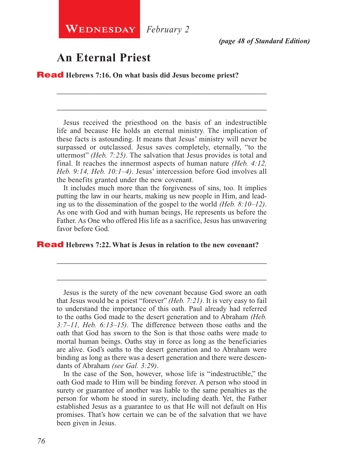*(page 48 of Standard Edition)*

### **An Eternal Priest**

Read **Hebrews 7:16. On what basis did Jesus become priest?**

Jesus received the priesthood on the basis of an indestructible life and because He holds an eternal ministry. The implication of these facts is astounding. It means that Jesus' ministry will never be surpassed or outclassed. Jesus saves completely, eternally, "to the uttermost" *(Heb. 7:25)*. The salvation that Jesus provides is total and final. It reaches the innermost aspects of human nature *(Heb. 4:12, Heb. 9:14, Heb. 10:1–4)*. Jesus' intercession before God involves all the benefits granted under the new covenant.

\_\_\_\_\_\_\_\_\_\_\_\_\_\_\_\_\_\_\_\_\_\_\_\_\_\_\_\_\_\_\_\_\_\_\_\_\_\_\_\_\_\_\_\_\_\_\_\_\_\_\_\_

\_\_\_\_\_\_\_\_\_\_\_\_\_\_\_\_\_\_\_\_\_\_\_\_\_\_\_\_\_\_\_\_\_\_\_\_\_\_\_\_\_\_\_\_\_\_\_\_\_\_\_\_

It includes much more than the forgiveness of sins, too. It implies putting the law in our hearts, making us new people in Him, and leading us to the dissemination of the gospel to the world *(Heb. 8:10–12)*. As one with God and with human beings, He represents us before the Father. As One who offered His life as a sacrifice, Jesus has unwavering favor before God.

\_\_\_\_\_\_\_\_\_\_\_\_\_\_\_\_\_\_\_\_\_\_\_\_\_\_\_\_\_\_\_\_\_\_\_\_\_\_\_\_\_\_\_\_\_\_\_\_\_\_\_\_

\_\_\_\_\_\_\_\_\_\_\_\_\_\_\_\_\_\_\_\_\_\_\_\_\_\_\_\_\_\_\_\_\_\_\_\_\_\_\_\_\_\_\_\_\_\_\_\_\_\_\_\_

#### Read **Hebrews 7:22. What is Jesus in relation to the new covenant?**

Jesus is the surety of the new covenant because God swore an oath that Jesus would be a priest "forever" *(Heb. 7:21)*. It is very easy to fail to understand the importance of this oath. Paul already had referred to the oaths God made to the desert generation and to Abraham *(Heb. 3:7–11, Heb. 6:13–15)*. The difference between those oaths and the oath that God has sworn to the Son is that those oaths were made to mortal human beings. Oaths stay in force as long as the beneficiaries are alive. God's oaths to the desert generation and to Abraham were binding as long as there was a desert generation and there were descendants of Abraham *(see Gal. 3:29)*.

In the case of the Son, however, whose life is "indestructible," the oath God made to Him will be binding forever. A person who stood in surety or guarantee of another was liable to the same penalties as the person for whom he stood in surety, including death. Yet, the Father established Jesus as a guarantee to us that He will not default on His promises. That's how certain we can be of the salvation that we have been given in Jesus.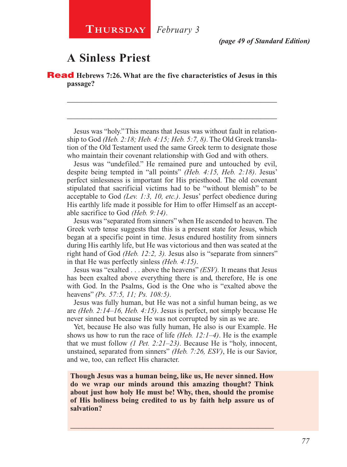*(page 49 of Standard Edition)*

### **A Sinless Priest**

Read **Hebrews 7:26. What are the five characteristics of Jesus in this passage?**

Jesus was "holy." This means that Jesus was without fault in relationship to God *(Heb. 2:18; Heb. 4:15; Heb. 5:7, 8)*. The Old Greek translation of the Old Testament used the same Greek term to designate those who maintain their covenant relationship with God and with others.

\_\_\_\_\_\_\_\_\_\_\_\_\_\_\_\_\_\_\_\_\_\_\_\_\_\_\_\_\_\_\_\_\_\_\_\_\_\_\_\_\_\_\_\_\_\_\_\_\_\_\_\_

\_\_\_\_\_\_\_\_\_\_\_\_\_\_\_\_\_\_\_\_\_\_\_\_\_\_\_\_\_\_\_\_\_\_\_\_\_\_\_\_\_\_\_\_\_\_\_\_\_\_\_\_

Jesus was "undefiled." He remained pure and untouched by evil, despite being tempted in "all points" *(Heb. 4:15, Heb. 2:18)*. Jesus' perfect sinlessness is important for His priesthood. The old covenant stipulated that sacrificial victims had to be "without blemish" to be acceptable to God *(Lev. 1:3, 10, etc.)*. Jesus' perfect obedience during His earthly life made it possible for Him to offer Himself as an acceptable sacrifice to God *(Heb. 9:14)*.

Jesus was "separated from sinners" when He ascended to heaven. The Greek verb tense suggests that this is a present state for Jesus, which began at a specific point in time. Jesus endured hostility from sinners during His earthly life, but He was victorious and then was seated at the right hand of God *(Heb. 12:2, 3).* Jesus also is "separate from sinners" in that He was perfectly sinless *(Heb. 4:15)*.

Jesus was "exalted . . . above the heavens" *(ESV).* It means that Jesus has been exalted above everything there is and, therefore, He is one with God. In the Psalms, God is the One who is "exalted above the heavens" *(Ps. 57:5, 11; Ps. 108:5)*.

Jesus was fully human, but He was not a sinful human being, as we are *(Heb. 2:14–16, Heb. 4:15)*. Jesus is perfect, not simply because He never sinned but because He was not corrupted by sin as we are.

Yet, because He also was fully human, He also is our Example. He shows us how to run the race of life *(Heb. 12:1–4)*. He is the example that we must follow *(1 Pet. 2:21–23)*. Because He is "holy, innocent, unstained, separated from sinners" *(Heb. 7:26, ESV)*, He is our Savior, and we, too, can reflect His character.

**Though Jesus was a human being, like us, He never sinned. How do we wrap our minds around this amazing thought? Think about just how holy He must be! Why, then, should the promise of His holiness being credited to us by faith help assure us of salvation?**

\_\_\_\_\_\_\_\_\_\_\_\_\_\_\_\_\_\_\_\_\_\_\_\_\_\_\_\_\_\_\_\_\_\_\_\_\_\_\_\_\_\_\_\_\_\_\_\_\_\_\_\_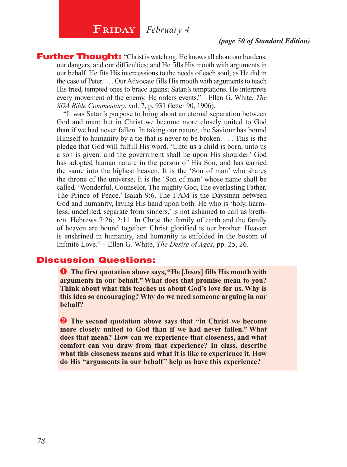## **FRIDAY** *February* 4

#### *(page 50 of Standard Edition)*

**Further Thought:** "Christ is watching. He knows all about our burdens, our dangers, and our difficulties; and He fills His mouth with arguments in our behalf. He fits His intercessions to the needs of each soul, as He did in the case of Peter. . . . Our Advocate fills His mouth with arguments to teach His tried, tempted ones to brace against Satan's temptations. He interprets every movement of the enemy. He orders events."—Ellen G. White, *The SDA Bible Commentary*, vol. 7, p. 931 (letter 90, 1906).

"It was Satan's purpose to bring about an eternal separation between God and man; but in Christ we become more closely united to God than if we had never fallen. In taking our nature, the Saviour has bound Himself to humanity by a tie that is never to be broken. . . . This is the pledge that God will fulfill His word. 'Unto us a child is born, unto us a son is given: and the government shall be upon His shoulder.' God has adopted human nature in the person of His Son, and has carried the same into the highest heaven. It is the 'Son of man' who shares the throne of the universe. It is the 'Son of man' whose name shall be called, 'Wonderful, Counselor, The mighty God, The everlasting Father, The Prince of Peace.' Isaiah 9:6. The I AM is the Daysman between God and humanity, laying His hand upon both. He who is 'holy, harmless, undefiled, separate from sinners,' is not ashamed to call us brethren. Hebrews 7:26; 2:11. In Christ the family of earth and the family of heaven are bound together. Christ glorified is our brother. Heaven is enshrined in humanity, and humanity is enfolded in the bosom of Infinite Love."—Ellen G. White, *The Desire of Ages*, pp. 25, 26.

#### Discussion Questions:

 **The first quotation above says, "He [Jesus] fills His mouth with arguments in our behalf." What does that promise mean to you? Think about what this teaches us about God's love for us. Why is this idea so encouraging? Why do we need someone arguing in our behalf?**

**2** The second quotation above says that "in Christ we become **more closely united to God than if we had never fallen." What does that mean? How can we experience that closeness, and what comfort can you draw from that experience? In class, describe what this closeness means and what it is like to experience it. How do His "arguments in our behalf" help us have this experience?**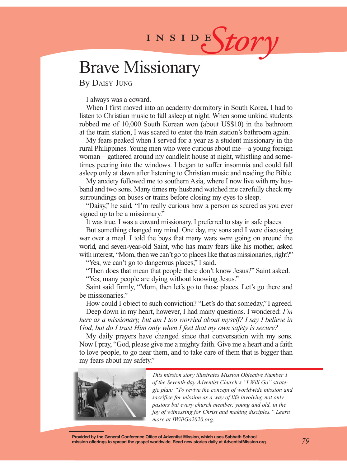# INSIDES*tory*

## Brave Missionary

By Daisy Jung

I always was a coward.

When I first moved into an academy dormitory in South Korea, I had to listen to Christian music to fall asleep at night. When some unkind students robbed me of 10,000 South Korean won (about US\$10) in the bathroom at the train station, I was scared to enter the train station's bathroom again.

My fears peaked when I served for a year as a student missionary in the rural Philippines. Young men who were curious about me—a young foreign woman—gathered around my candlelit house at night, whistling and sometimes peering into the windows. I began to suffer insomnia and could fall asleep only at dawn after listening to Christian music and reading the Bible.

My anxiety followed me to southern Asia, where I now live with my husband and two sons. Many times my husband watched me carefully check my surroundings on buses or trains before closing my eyes to sleep.

"Daisy," he said, "I'm really curious how a person as scared as you ever signed up to be a missionary."

It was true. I was a coward missionary. I preferred to stay in safe places.

But something changed my mind. One day, my sons and I were discussing war over a meal. I told the boys that many wars were going on around the world, and seven-year-old Saint, who has many fears like his mother, asked with interest, "Mom, then we can't go to places like that as missionaries, right?"

"Yes, we can't go to dangerous places," I said.

"Then does that mean that people there don't know Jesus?" Saint asked. "Yes, many people are dying without knowing Jesus."

Saint said firmly, "Mom, then let's go to those places. Let's go there and be missionaries."

How could I object to such conviction? "Let's do that someday," I agreed.

Deep down in my heart, however, I had many questions. I wondered: *I'm here as a missionary, but am I too worried about myself? I say I believe in God, but do I trust Him only when I feel that my own safety is secure?*

My daily prayers have changed since that conversation with my sons. Now I pray, "God, please give me a mighty faith. Give me a heart and a faith to love people, to go near them, and to take care of them that is bigger than my fears about my safety."



*This mission story illustrates Mission Objective Number 1 of the Seventh-day Adventist Church's "I Will Go" strategic plan: "To revive the concept of worldwide mission and sacrifice for mission as a way of life involving not only pastors but every church member, young and old, in the joy of witnessing for Christ and making disciples." Learn more at IWillGo2020.org.*

**Provided by the General Conference Office of Adventist Mission, which uses Sabbath School mission offerings to spread the gospel worldwide. Read new stories daily at AdventistMission.org.**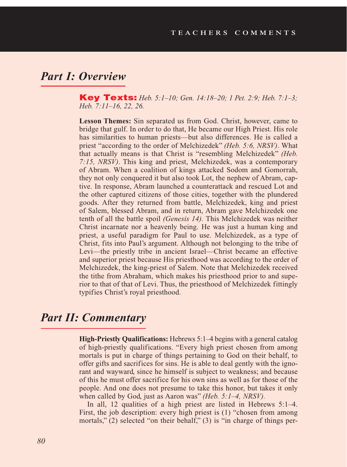#### *Part I: Overview*

Key Texts: *Heb. 5:1–10; Gen. 14:18–20; 1 Pet. 2:9; Heb. 7:1–3; Heb. 7:11–16, 22, 26.*

**Lesson Themes:** Sin separated us from God. Christ, however, came to bridge that gulf. In order to do that, He became our High Priest. His role has similarities to human priests—but also differences. He is called a priest "according to the order of Melchizedek" *(Heb. 5:6, NRSV)*. What that actually means is that Christ is "resembling Melchizedek" *(Heb. 7:15, NRSV)*. This king and priest, Melchizedek, was a contemporary of Abram. When a coalition of kings attacked Sodom and Gomorrah, they not only conquered it but also took Lot, the nephew of Abram, captive. In response, Abram launched a counterattack and rescued Lot and the other captured citizens of those cities, together with the plundered goods. After they returned from battle, Melchizedek, king and priest of Salem, blessed Abram, and in return, Abram gave Melchizedek one tenth of all the battle spoil *(Genesis 14).* This Melchizedek was neither Christ incarnate nor a heavenly being. He was just a human king and priest, a useful paradigm for Paul to use. Melchizedek, as a type of Christ, fits into Paul's argument. Although not belonging to the tribe of Levi—the priestly tribe in ancient Israel—Christ became an effective and superior priest because His priesthood was according to the order of Melchizedek, the king-priest of Salem. Note that Melchizedek received the tithe from Abraham, which makes his priesthood prior to and superior to that of that of Levi. Thus, the priesthood of Melchizedek fittingly typifies Christ's royal priesthood.

#### *Part II: Commentary*

**High-Priestly Qualifications:** Hebrews 5:1–4 begins with a general catalog of high-priestly qualifications. "Every high priest chosen from among mortals is put in charge of things pertaining to God on their behalf, to offer gifts and sacrifices for sins. He is able to deal gently with the ignorant and wayward, since he himself is subject to weakness; and because of this he must offer sacrifice for his own sins as well as for those of the people. And one does not presume to take this honor, but takes it only when called by God, just as Aaron was" *(Heb. 5:1–4, NRSV).*

In all, 12 qualities of a high priest are listed in Hebrews 5:1–4. First, the job description: every high priest is (1) "chosen from among mortals," (2) selected "on their behalf," (3) is "in charge of things per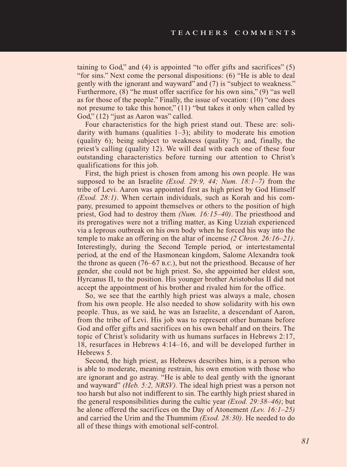taining to God," and  $(4)$  is appointed "to offer gifts and sacrifices"  $(5)$ "for sins." Next come the personal dispositions: (6) "He is able to deal gently with the ignorant and wayward" and (7) is "subject to weakness." Furthermore, (8) "he must offer sacrifice for his own sins," (9) "as well as for those of the people." Finally, the issue of vocation: (10) "one does not presume to take this honor," (11) "but takes it only when called by God," (12) "just as Aaron was" called.

Four characteristics for the high priest stand out. These are: solidarity with humans (qualities  $1-3$ ); ability to moderate his emotion (quality 6); being subject to weakness (quality 7); and, finally, the priest's calling (quality 12). We will deal with each one of these four outstanding characteristics before turning our attention to Christ's qualifications for this job.

First, the high priest is chosen from among his own people. He was supposed to be an Israelite *(Exod. 29:9, 44; Num. 18:1–7)* from the tribe of Levi. Aaron was appointed first as high priest by God Himself *(Exod. 28:1)*. When certain individuals, such as Korah and his company, presumed to appoint themselves or others to the position of high priest, God had to destroy them *(Num. 16:15–40)*. The priesthood and its prerogatives were not a trifling matter, as King Uzziah experienced via a leprous outbreak on his own body when he forced his way into the temple to make an offering on the altar of incense *(2 Chron. 26:16–21)*. Interestingly, during the Second Temple period, or intertestamental period, at the end of the Hasmonean kingdom, Salome Alexandra took the throne as queen (76–67 b.c.), but not the priesthood. Because of her gender, she could not be high priest. So, she appointed her eldest son, Hyrcanus II, to the position. His younger brother Aristobolus II did not accept the appointment of his brother and rivaled him for the office.

So, we see that the earthly high priest was always a male, chosen from his own people. He also needed to show solidarity with his own people. Thus, as we said, he was an Israelite, a descendant of Aaron, from the tribe of Levi. His job was to represent other humans before God and offer gifts and sacrifices on his own behalf and on theirs. The topic of Christ's solidarity with us humans surfaces in Hebrews 2:17, 18, resurfaces in Hebrews 4:14–16, and will be developed further in Hebrews 5.

Second, the high priest, as Hebrews describes him, is a person who is able to moderate, meaning restrain, his own emotion with those who are ignorant and go astray. "He is able to deal gently with the ignorant and wayward" *(Heb. 5:2, NRSV).* The ideal high priest was a person not too harsh but also not indifferent to sin. The earthly high priest shared in the general responsibilities during the cultic year *(Exod. 29:38–46)*; but he alone offered the sacrifices on the Day of Atonement *(Lev. 16:1–25)* and carried the Urim and the Thummim *(Exod. 28:30)*. He needed to do all of these things with emotional self-control.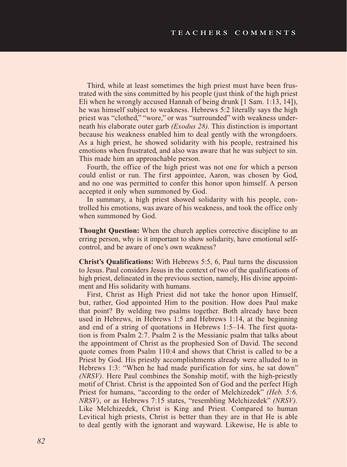Third, while at least sometimes the high priest must have been frustrated with the sins committed by his people (just think of the high priest Eli when he wrongly accused Hannah of being drunk [1 Sam. 1:13, 14]), he was himself subject to weakness. Hebrews 5:2 literally says the high priest was "clothed," "wore," or was "surrounded" with weakness underneath his elaborate outer garb *(Exodus 28).* This distinction is important because his weakness enabled him to deal gently with the wrongdoers. As a high priest, he showed solidarity with his people, restrained his emotions when frustrated, and also was aware that he was subject to sin. This made him an approachable person.

Fourth, the office of the high priest was not one for which a person could enlist or run. The first appointee, Aaron, was chosen by God, and no one was permitted to confer this honor upon himself. A person accepted it only when summoned by God.

In summary, a high priest showed solidarity with his people, controlled his emotions, was aware of his weakness, and took the office only when summoned by God.

**Thought Question:** When the church applies corrective discipline to an erring person, why is it important to show solidarity, have emotional selfcontrol, and be aware of one's own weakness?

**Christ's Qualifications:** With Hebrews 5:5, 6, Paul turns the discussion to Jesus. Paul considers Jesus in the context of two of the qualifications of high priest, delineated in the previous section, namely, His divine appointment and His solidarity with humans.

First, Christ as High Priest did not take the honor upon Himself, but, rather, God appointed Him to the position. How does Paul make that point? By welding two psalms together. Both already have been used in Hebrews, in Hebrews 1:5 and Hebrews 1:14, at the beginning and end of a string of quotations in Hebrews 1:5–14. The first quotation is from Psalm 2:7. Psalm 2 is the Messianic psalm that talks about the appointment of Christ as the prophesied Son of David. The second quote comes from Psalm 110:4 and shows that Christ is called to be a Priest by God. His priestly accomplishments already were alluded to in Hebrews 1:3: "When he had made purification for sins, he sat down" *(NRSV)*. Here Paul combines the Sonship motif, with the high-priestly motif of Christ. Christ is the appointed Son of God and the perfect High Priest for humans, "according to the order of Melchizedek" *(Heb. 5:6, NRSV)*, or as Hebrews 7:15 states, "resembling Melchizedek" *(NRSV).* Like Melchizedek, Christ is King and Priest. Compared to human Levitical high priests, Christ is better than they are in that He is able to deal gently with the ignorant and wayward. Likewise, He is able to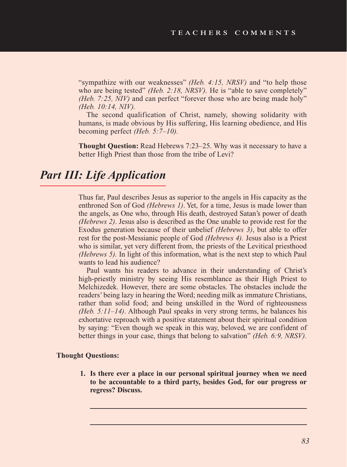"sympathize with our weaknesses" *(Heb. 4:15, NRSV)* and "to help those who are being tested" *(Heb. 2:18, NRSV)*. He is "able to save completely" *(Heb. 7:25, NIV)* and can perfect "forever those who are being made holy" *(Heb. 10:14, NIV).* 

The second qualification of Christ, namely, showing solidarity with humans, is made obvious by His suffering, His learning obedience, and His becoming perfect *(Heb. 5:7–10).* 

**Thought Question:** Read Hebrews 7:23–25. Why was it necessary to have a better High Priest than those from the tribe of Levi?

## *Part III: Life Application*

Thus far, Paul describes Jesus as superior to the angels in His capacity as the enthroned Son of God *(Hebrews 1)*. Yet, for a time, Jesus is made lower than the angels, as One who, through His death, destroyed Satan's power of death *(Hebrews 2)*. Jesus also is described as the One unable to provide rest for the Exodus generation because of their unbelief *(Hebrews 3)*, but able to offer rest for the post-Messianic people of God *(Hebrews 4).* Jesus also is a Priest who is similar, yet very different from, the priests of the Levitical priesthood *(Hebrews 5).* In light of this information, what is the next step to which Paul wants to lead his audience?

Paul wants his readers to advance in their understanding of Christ's high-priestly ministry by seeing His resemblance as their High Priest to Melchizedek. However, there are some obstacles. The obstacles include the readers' being lazy in hearing the Word; needing milk as immature Christians, rather than solid food; and being unskilled in the Word of righteousness *(Heb. 5:11–14)*. Although Paul speaks in very strong terms, he balances his exhortative reproach with a positive statement about their spiritual condition by saying: "Even though we speak in this way, beloved, we are confident of better things in your case, things that belong to salvation" *(Heb. 6:9, NRSV).* 

#### **Thought Questions:**

**1. Is there ever a place in our personal spiritual journey when we need to be accountable to a third party, besides God, for our progress or regress? Discuss.**